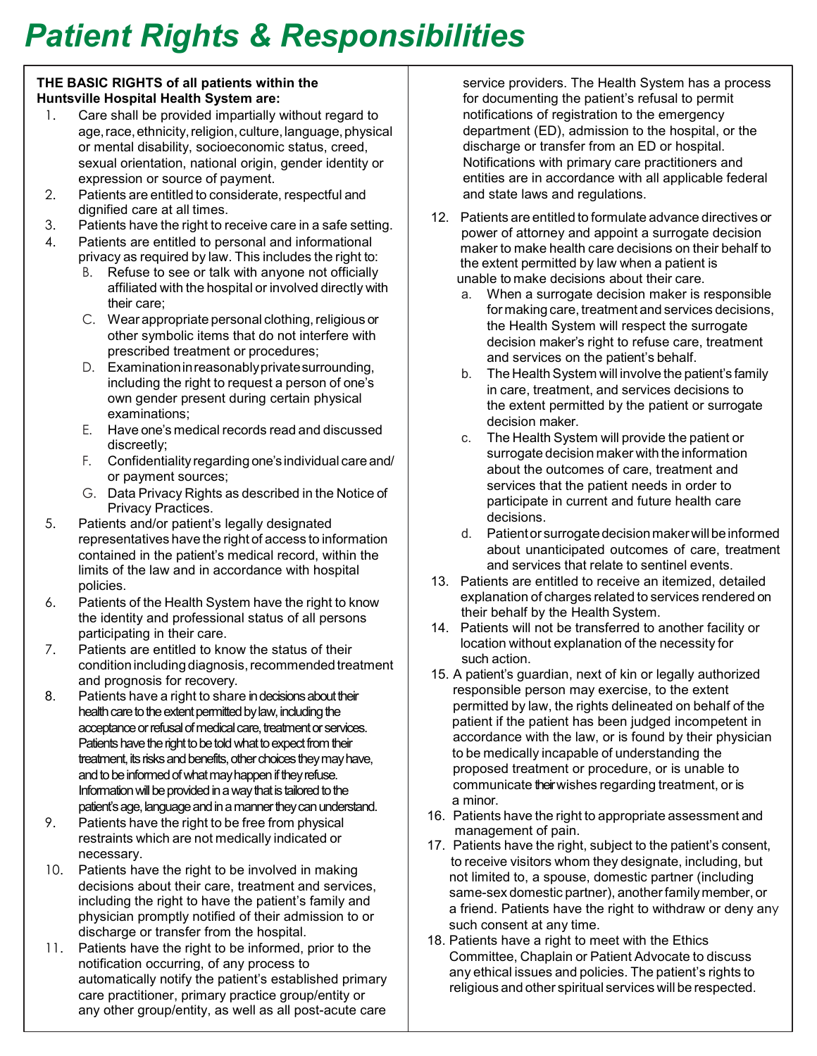## *Patient Rights & Responsibilities*

## **THE BASIC RIGHTS of all patients within the Huntsville Hospital Health System are:**

- 1. Care shall be provided impartially without regard to age, race, ethnicity, religion, culture, language, physical or mental disability, socioeconomic status, creed, sexual orientation, national origin, gender identity or expression or source of payment.
- 2. Patients are entitled to considerate, respectful and dignified care at all times.
- 3. Patients have the right to receive care in a safe setting.
- 4. Patients are entitled to personal and informational privacy as required by law. This includes the right to:
	- B. Refuse to see or talk with anyone not officially affiliated with the hospital or involved directly with their care;
	- C. Wear appropriate personal clothing, religious or other symbolic items that do not interfere with prescribed treatment or procedures;
	- D. Examinationinreasonablyprivatesurrounding, including the right to request a person of one's own gender present during certain physical examinations;
	- E. Have one's medical records read and discussed discreetly;
	- F. Confidentiality regarding one's individual care and/ or payment sources;
	- G. Data Privacy Rights as described in the Notice of Privacy Practices.
- 5. Patients and/or patient's legally designated representatives have the right of access to information contained in the patient's medical record, within the limits of the law and in accordance with hospital policies.
- 6. Patients of the Health System have the right to know the identity and professional status of all persons participating in their care.
- 7. Patients are entitled to know the status of their condition including diagnosis, recommended treatment and prognosis for recovery.
- 8. Patients have a right to share in decisions about their health care to the extent permitted by law, including the acceptance or refusal of medical care, treatment or services. Patients have the right to be told what to expect from their treatment, its risks and benefits, other choices they may have, and to be informed of what may happen if they refuse. Information will be provided in a way that is tailored to the patient's age, language and in a manner they can understand.
- 9. Patients have the right to be free from physical restraints which are not medically indicated or necessary.
- 10. Patients have the right to be involved in making decisions about their care, treatment and services, including the right to have the patient's family and physician promptly notified of their admission to or discharge or transfer from the hospital.
- 11. Patients have the right to be informed, prior to the notification occurring, of any process to automatically notify the patient's established primary care practitioner, primary practice group/entity or any other group/entity, as well as all post-acute care

service providers. The Health System has a process for documenting the patient's refusal to permit notifications of registration to the emergency department (ED), admission to the hospital, or the discharge or transfer from an ED or hospital. Notifications with primary care practitioners and entities are in accordance with all applicable federal and state laws and regulations.

- 12. Patients are entitled to formulate advance directives or power of attorney and appoint a surrogate decision maker to make health care decisions on their behalf to the extent permitted by law when a patient is unable to make decisions about their care.
	- a. When a surrogate decision maker is responsible for making care, treatment and services decisions, the Health System will respect the surrogate decision maker's right to refuse care, treatment and services on the patient's behalf.
	- b. The Health System will involve the patient's family in care, treatment, and services decisions to the extent permitted by the patient or surrogate decision maker.
	- c. The Health System will provide the patient or surrogate decision maker with the information about the outcomes of care, treatment and services that the patient needs in order to participate in current and future health care decisions.
	- d. Patient or surrogate decision maker will be informed about unanticipated outcomes of care, treatment and services that relate to sentinel events.
- 13. Patients are entitled to receive an itemized, detailed explanation of charges related to services rendered on their behalf by the Health System.
- 14. Patients will not be transferred to another facility or location without explanation of the necessity for such action.
- 15. A patient's guardian, next of kin or legally authorized responsible person may exercise, to the extent permitted by law, the rights delineated on behalf of the patient if the patient has been judged incompetent in accordance with the law, or is found by their physician to be medically incapable of understanding the proposed treatment or procedure, or is unable to communicate theirwishes regarding treatment, or is a minor.
- 16. Patients have the right to appropriate assessment and management of pain.
- 17. Patients have the right, subject to the patient's consent, to receive visitors whom they designate, including, but not limited to, a spouse, domestic partner (including same-sex domestic partner), another family member, or a friend. Patients have the right to withdraw or deny any such consent at any time.
- 18. Patients have a right to meet with the Ethics Committee, Chaplain or Patient Advocate to discuss any ethical issues and policies. The patient's rights to religious and other spiritual services will be respected.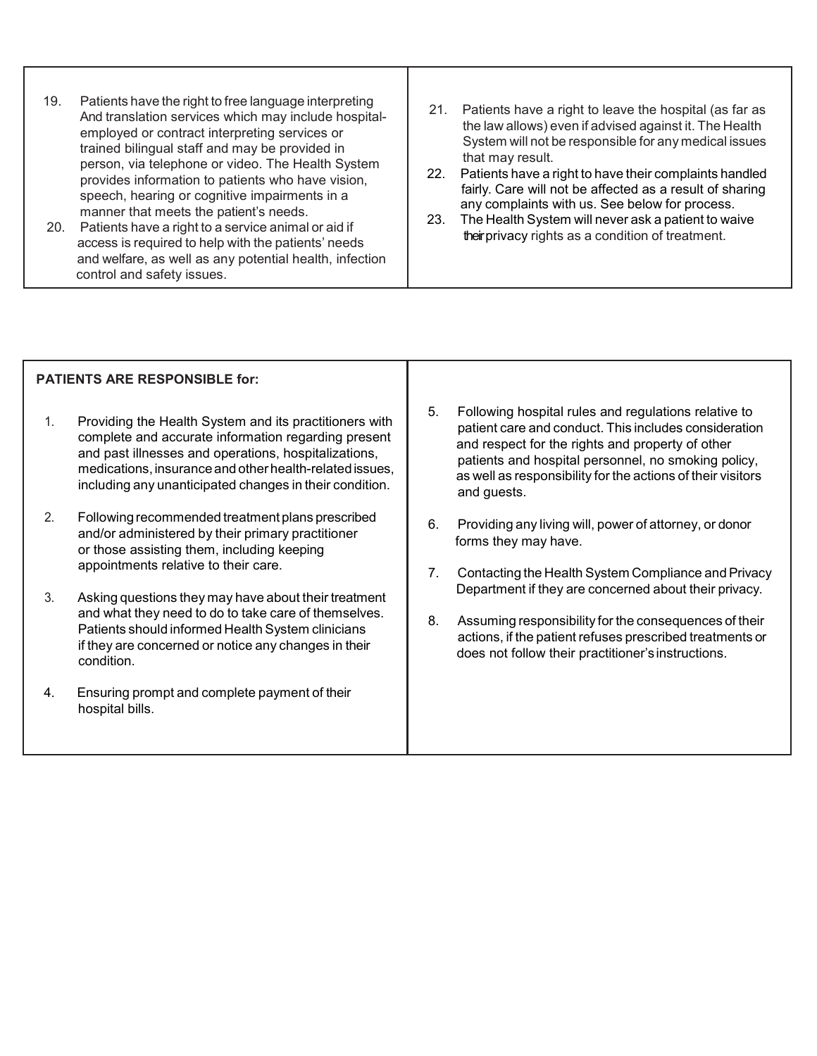- 19. Patients have the right to free language interpreting And translation services which may include hospital employed or contract interpreting services or trained bilingual staff and may be provided in person, via telephone or video. The Health System provides information to patients who have vision, speech, hearing or cognitive impairments in a manner that meets the patient's needs.
	- 20. Patients have a right to a service animal or aid if access is required to help with the patients' needs and welfare, as well as any potential health, infection control and safety issues.
- 21. Patients have a right to leave the hospital (as far as the law allows) even if advised against it. The Health System will not be responsible for any medical issues that may result.
- 22. Patients have a right to have their complaints handled fairly. Care will not be affected as a result of sharing any complaints with us. See below for process.
- 23. The Health System will never ask a patient to waive their privacy rights as a condition of treatment.

| <b>PATIENTS ARE RESPONSIBLE for:</b> |                                                                                                                                                                                                                                                                                             |          |                                                                                                                                                                                                                                                                                                        |
|--------------------------------------|---------------------------------------------------------------------------------------------------------------------------------------------------------------------------------------------------------------------------------------------------------------------------------------------|----------|--------------------------------------------------------------------------------------------------------------------------------------------------------------------------------------------------------------------------------------------------------------------------------------------------------|
| 1.                                   | Providing the Health System and its practitioners with<br>complete and accurate information regarding present<br>and past illnesses and operations, hospitalizations,<br>medications, insurance and other health-related issues,<br>including any unanticipated changes in their condition. | 5.       | Following hospital rules and regulations relative to<br>patient care and conduct. This includes consideration<br>and respect for the rights and property of other<br>patients and hospital personnel, no smoking policy,<br>as well as responsibility for the actions of their visitors<br>and guests. |
| 2.                                   | Following recommended treatment plans prescribed<br>and/or administered by their primary practitioner<br>or those assisting them, including keeping<br>appointments relative to their care.                                                                                                 | 6.<br>7. | Providing any living will, power of attorney, or donor<br>forms they may have.<br>Contacting the Health System Compliance and Privacy                                                                                                                                                                  |
| 3.                                   | Asking questions they may have about their treatment<br>and what they need to do to take care of themselves.<br>Patients should informed Health System clinicians<br>if they are concerned or notice any changes in their<br>condition.                                                     |          | Department if they are concerned about their privacy.                                                                                                                                                                                                                                                  |
|                                      |                                                                                                                                                                                                                                                                                             | 8.       | Assuming responsibility for the consequences of their<br>actions, if the patient refuses prescribed treatments or<br>does not follow their practitioner's instructions.                                                                                                                                |
| 4.                                   | Ensuring prompt and complete payment of their<br>hospital bills.                                                                                                                                                                                                                            |          |                                                                                                                                                                                                                                                                                                        |
|                                      |                                                                                                                                                                                                                                                                                             |          |                                                                                                                                                                                                                                                                                                        |